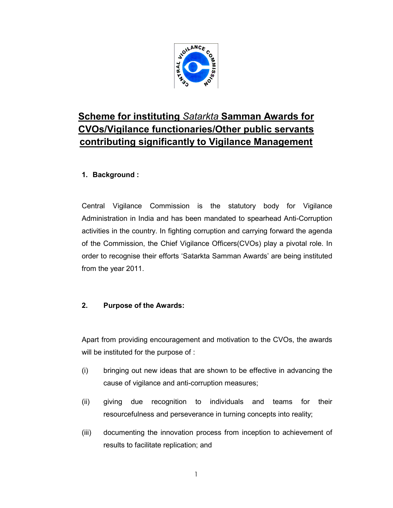

# Scheme for instituting Satarkta Samman Awards for CVOs/Vigilance functionaries/Other public servants contributing significantly to Vigilance Management

# 1. Background :

Central Vigilance Commission is the statutory body for Vigilance Administration in India and has been mandated to spearhead Anti-Corruption activities in the country. In fighting corruption and carrying forward the agenda of the Commission, the Chief Vigilance Officers(CVOs) play a pivotal role. In order to recognise their efforts 'Satarkta Samman Awards' are being instituted from the year 2011.

# 2. Purpose of the Awards:

Apart from providing encouragement and motivation to the CVOs, the awards will be instituted for the purpose of :

- (i) bringing out new ideas that are shown to be effective in advancing the cause of vigilance and anti-corruption measures;
- (ii) giving due recognition to individuals and teams for their resourcefulness and perseverance in turning concepts into reality;
- (iii) documenting the innovation process from inception to achievement of results to facilitate replication; and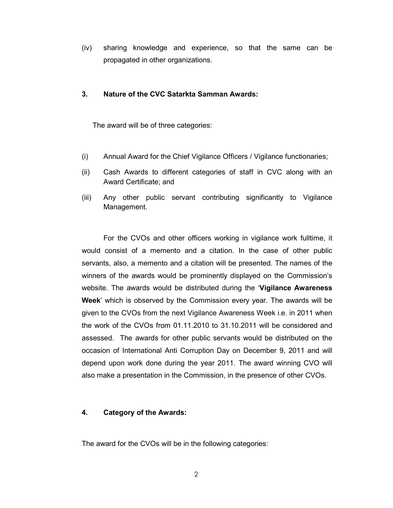(iv) sharing knowledge and experience, so that the same can be propagated in other organizations.

#### 3. Nature of the CVC Satarkta Samman Awards:

The award will be of three categories:

- (i) Annual Award for the Chief Vigilance Officers / Vigilance functionaries;
- (ii) Cash Awards to different categories of staff in CVC along with an Award Certificate; and
- (iii) Any other public servant contributing significantly to Vigilance Management.

For the CVOs and other officers working in vigilance work fulltime, it would consist of a memento and a citation. In the case of other public servants, also, a memento and a citation will be presented. The names of the winners of the awards would be prominently displayed on the Commission's website. The awards would be distributed during the 'Vigilance Awareness Week' which is observed by the Commission every year. The awards will be given to the CVOs from the next Vigilance Awareness Week i.e. in 2011 when the work of the CVOs from 01.11.2010 to 31.10.2011 will be considered and assessed. The awards for other public servants would be distributed on the occasion of International Anti Corruption Day on December 9, 2011 and will depend upon work done during the year 2011. The award winning CVO will also make a presentation in the Commission, in the presence of other CVOs.

#### 4. Category of the Awards:

The award for the CVOs will be in the following categories: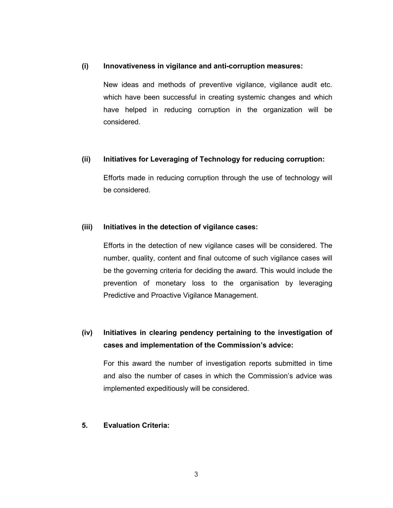#### (i) Innovativeness in vigilance and anti-corruption measures:

New ideas and methods of preventive vigilance, vigilance audit etc. which have been successful in creating systemic changes and which have helped in reducing corruption in the organization will be considered.

#### (ii) Initiatives for Leveraging of Technology for reducing corruption:

Efforts made in reducing corruption through the use of technology will be considered.

#### (iii) Initiatives in the detection of vigilance cases:

Efforts in the detection of new vigilance cases will be considered. The number, quality, content and final outcome of such vigilance cases will be the governing criteria for deciding the award. This would include the prevention of monetary loss to the organisation by leveraging Predictive and Proactive Vigilance Management.

# (iv) Initiatives in clearing pendency pertaining to the investigation of cases and implementation of the Commission's advice:

For this award the number of investigation reports submitted in time and also the number of cases in which the Commission's advice was implemented expeditiously will be considered.

#### 5. Evaluation Criteria: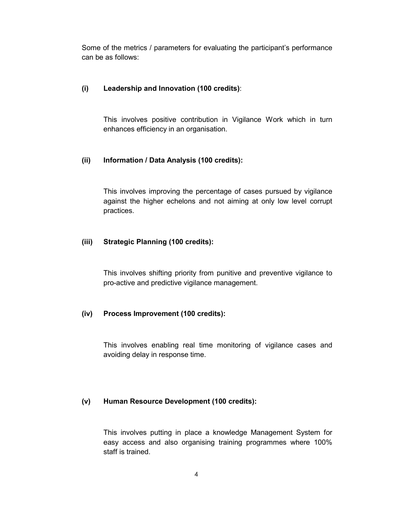Some of the metrics / parameters for evaluating the participant's performance can be as follows:

#### (i) Leadership and Innovation (100 credits):

This involves positive contribution in Vigilance Work which in turn enhances efficiency in an organisation.

#### (ii) Information / Data Analysis (100 credits):

This involves improving the percentage of cases pursued by vigilance against the higher echelons and not aiming at only low level corrupt practices.

#### (iii) Strategic Planning (100 credits):

This involves shifting priority from punitive and preventive vigilance to pro-active and predictive vigilance management.

#### (iv) Process Improvement (100 credits):

This involves enabling real time monitoring of vigilance cases and avoiding delay in response time.

#### (v) Human Resource Development (100 credits):

This involves putting in place a knowledge Management System for easy access and also organising training programmes where 100% staff is trained.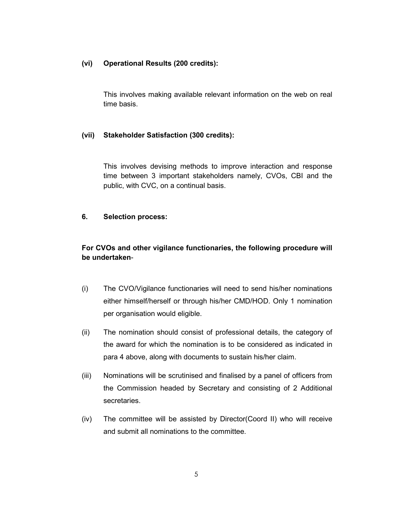#### (vi) Operational Results (200 credits):

This involves making available relevant information on the web on real time basis.

#### (vii) Stakeholder Satisfaction (300 credits):

This involves devising methods to improve interaction and response time between 3 important stakeholders namely, CVOs, CBI and the public, with CVC, on a continual basis.

#### 6. Selection process:

### For CVOs and other vigilance functionaries, the following procedure will be undertaken-

- (i) The CVO/Vigilance functionaries will need to send his/her nominations either himself/herself or through his/her CMD/HOD. Only 1 nomination per organisation would eligible.
- (ii) The nomination should consist of professional details, the category of the award for which the nomination is to be considered as indicated in para 4 above, along with documents to sustain his/her claim.
- (iii) Nominations will be scrutinised and finalised by a panel of officers from the Commission headed by Secretary and consisting of 2 Additional secretaries.
- (iv) The committee will be assisted by Director(Coord II) who will receive and submit all nominations to the committee.